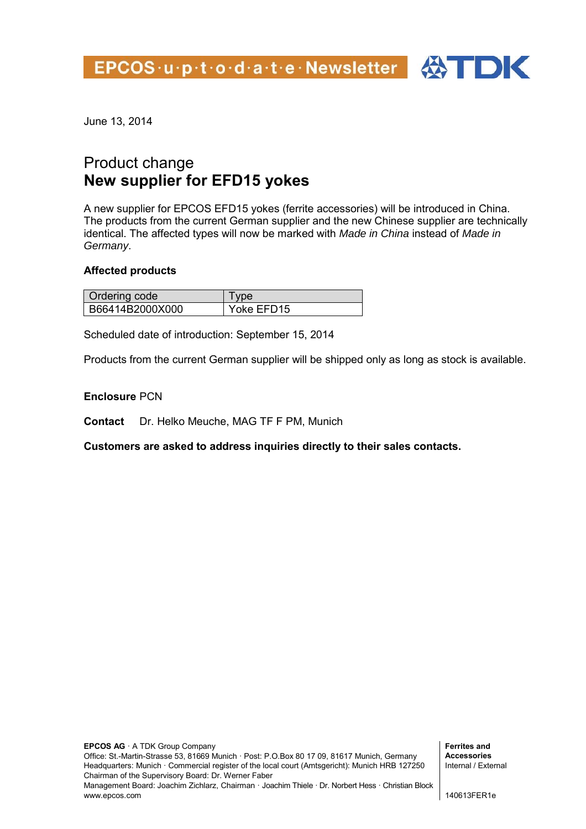EPCOS u p t o d a t e Newsletter 4



June 13, 2014

## Product change **New supplier for EFD15 yokes**

A new supplier for EPCOS EFD15 yokes (ferrite accessories) will be introduced in China. The products from the current German supplier and the new Chinese supplier are technically identical. The affected types will now be marked with *Made in China* instead of *Made in Germany*.

## **Affected products**

| Ordering code   | vne        |
|-----------------|------------|
| B66414B2000X000 | Yoke EFD15 |

Scheduled date of introduction: September 15, 2014

Products from the current German supplier will be shipped only as long as stock is available.

## **Enclosure** PCN

**Contact** Dr. Helko Meuche, MAG TF F PM, Munich

**Customers are asked to address inquiries directly to their sales contacts.**

**Ferrites and Accessories**  Internal / External